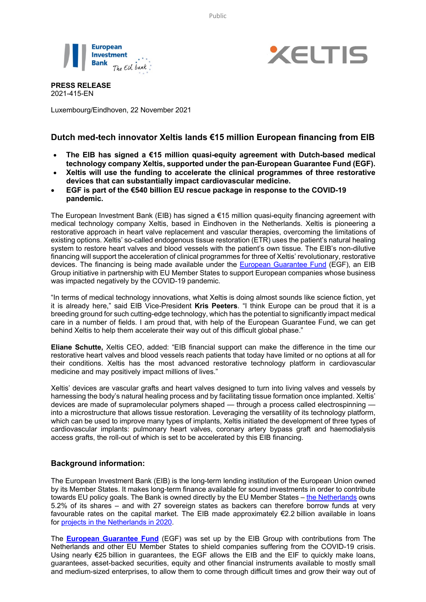Public





**PRESS RELEASE** 2021-415-EN

Luxembourg/Eindhoven, 22 November 2021

## **Dutch med-tech innovator Xeltis lands €15 million European financing from EIB**

- **The EIB has signed a €15 million quasi-equity agreement with Dutch-based medical technology company Xeltis, supported under the pan-European Guarantee Fund (EGF).**
- **Xeltis will use the funding to accelerate the clinical programmes of three restorative devices that can substantially impact cardiovascular medicine.**
- **EGF is part of the €540 billion EU rescue package in response to the COVID-19 pandemic.**

The European Investment Bank (EIB) has signed a  $\epsilon$ 15 million quasi-equity financing agreement with medical technology company Xeltis, based in Eindhoven in the Netherlands. Xeltis is pioneering a restorative approach in heart valve replacement and vascular therapies, overcoming the limitations of existing options. Xeltis' so-called endogenous tissue restoration (ETR) uses the patient's natural healing system to restore heart valves and blood vessels with the patient's own tissue. The EIB's non-dilutive financing will support the acceleration of clinical programmes for three of Xeltis' revolutionary, restorative devices. The financing is being made available under the European Guarantee Fund (EGF), an EIB Group initiative in partnership with EU Member States to support European companies whose business was impacted negatively by the COVID-19 pandemic.

"In terms of medical technology innovations, what Xeltis is doing almost sounds like science fiction, yet it is already here," said EIB Vice-President **Kris Peeters**. "I think Europe can be proud that it is a breeding ground for such cutting-edge technology, which has the potential to significantly impact medical care in a number of fields. I am proud that, with help of the European Guarantee Fund, we can get behind Xeltis to help them accelerate their way out of this difficult global phase."

**Eliane Schutte,** Xeltis CEO, added: "EIB financial support can make the difference in the time our restorative heart valves and blood vessels reach patients that today have limited or no options at all for their conditions. Xeltis has the most advanced restorative technology platform in cardiovascular medicine and may positively impact millions of lives."

Xeltis' devices are vascular grafts and heart valves designed to turn into living valves and vessels by harnessing the body's natural healing process and by facilitating tissue formation once implanted. Xeltis' devices are made of supramolecular polymers shaped — through a process called electrospinning into a microstructure that allows tissue restoration. Leveraging the versatility of its technology platform, which can be used to improve many types of implants, Xeltis initiated the development of three types of cardiovascular implants: pulmonary heart valves, coronary artery bypass graft and haemodialysis access grafts, the roll-out of which is set to be accelerated by this EIB financing.

## **Background information:**

The European Investment Bank (EIB) is the long-term lending institution of the European Union owned by its Member States. It makes long-term finance available for sound investments in order to contribute towards EU policy goals. The Bank is owned directly by the EU Member States – the Netherlands owns 5.2% of its shares – and with 27 sovereign states as backers can therefore borrow funds at very favourable rates on the capital market. The EIB made approximately €2.2 billion available in loans for projects in the Netherlands in 2020.

The **European Guarantee Fund** (EGF) was set up by the EIB Group with contributions from The Netherlands and other EU Member States to shield companies suffering from the COVID-19 crisis. Using nearly €25 billion in guarantees, the EGF allows the EIB and the EIF to quickly make loans, guarantees, asset-backed securities, equity and other financial instruments available to mostly small and medium-sized enterprises, to allow them to come through difficult times and grow their way out of